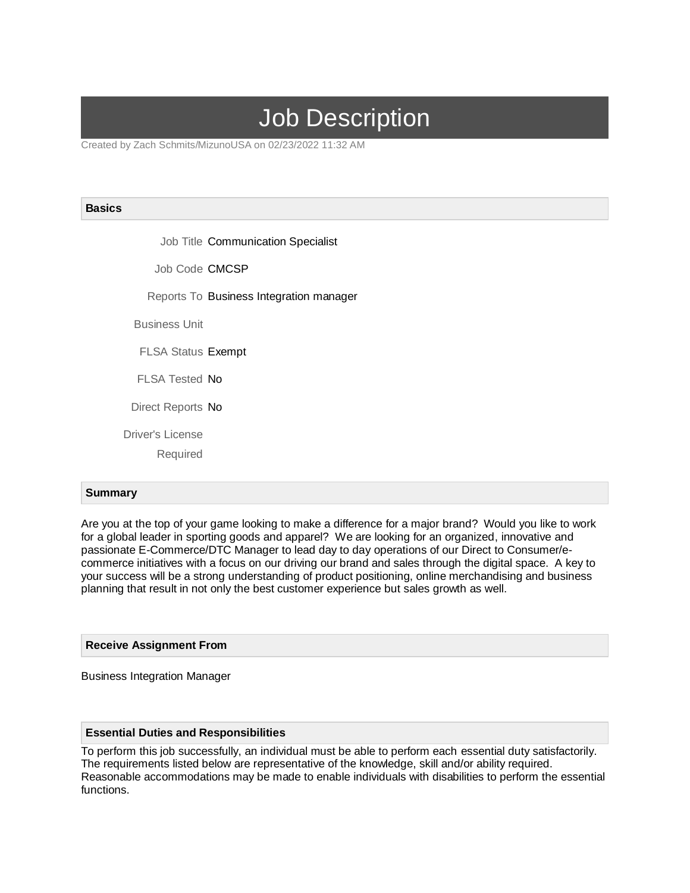# Job Description

Created by Zach Schmits/MizunoUSA on 02/23/2022 11:32 AM

#### **Basics**

Job Title Communication Specialist

Job Code CMCSP

Reports To Business Integration manager

Business Unit

FLSA Status Exempt

FLSA Tested No

Direct Reports No

Driver's License

Required

# **Summary**

Are you at the top of your game looking to make a difference for a major brand? Would you like to work for a global leader in sporting goods and apparel? We are looking for an organized, innovative and passionate E-Commerce/DTC Manager to lead day to day operations of our Direct to Consumer/ecommerce initiatives with a focus on our driving our brand and sales through the digital space. A key to your success will be a strong understanding of product positioning, online merchandising and business planning that result in not only the best customer experience but sales growth as well.

## **Receive Assignment From**

Business Integration Manager

#### **Essential Duties and Responsibilities**

To perform this job successfully, an individual must be able to perform each essential duty satisfactorily. The requirements listed below are representative of the knowledge, skill and/or ability required. Reasonable accommodations may be made to enable individuals with disabilities to perform the essential functions.